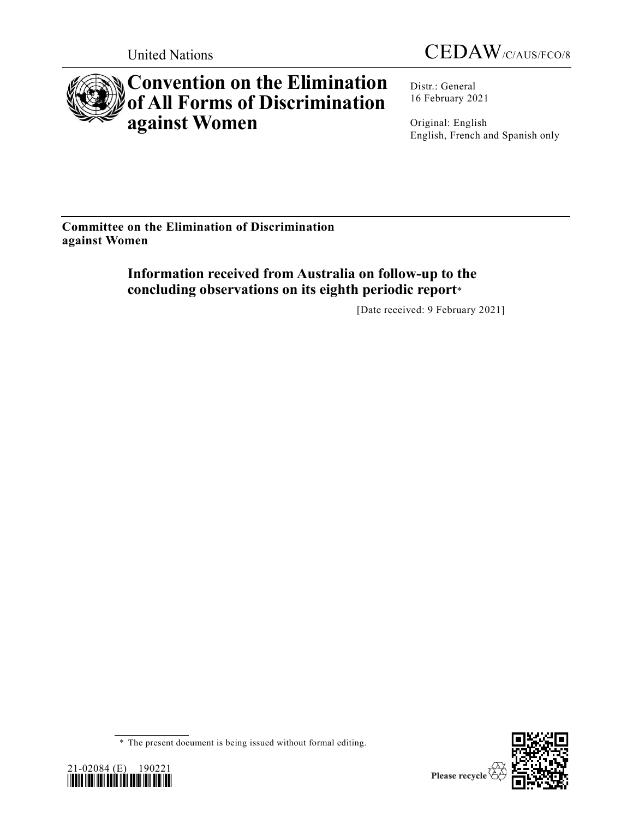



# **Convention on the Elimination of All Forms of Discrimination against Women**

Distr.: General 16 February 2021

Original: English English, French and Spanish only

**Committee on the Elimination of Discrimination against Women**

> **Information received from Australia on follow-up to the concluding observations on its eighth periodic report**\*

> > [Date received: 9 February 2021]

<sup>\*</sup> The present document is being issued without formal editing.



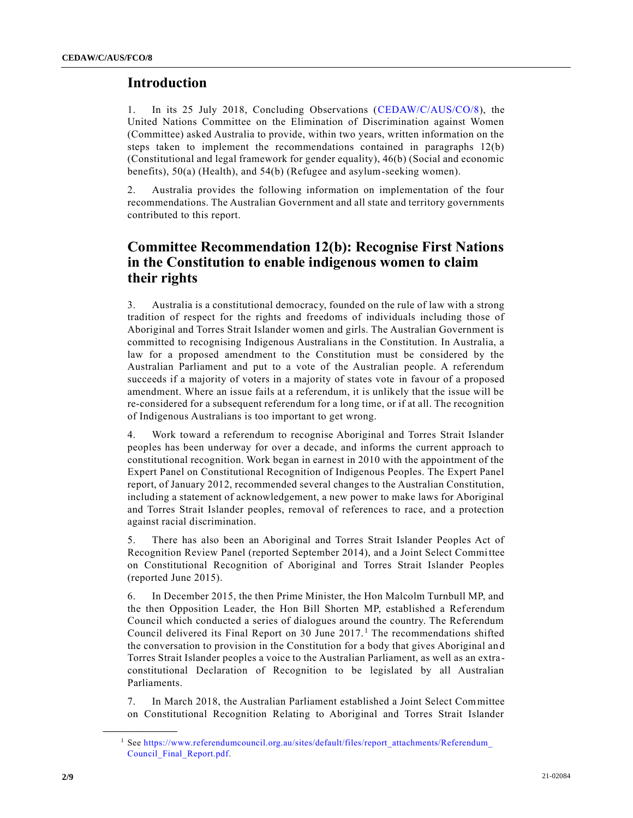# **Introduction**

1. In its 25 July 2018, Concluding Observations [\(CEDAW/C/AUS/CO/8\)](https://undocs.org/en/CEDAW/C/AUS/CO/8), the United Nations Committee on the Elimination of Discrimination against Women (Committee) asked Australia to provide, within two years, written information on the steps taken to implement the recommendations contained in paragraphs 12(b) (Constitutional and legal framework for gender equality), 46(b) (Social and economic benefits), 50(a) (Health), and 54(b) (Refugee and asylum-seeking women).

2. Australia provides the following information on implementation of the four recommendations. The Australian Government and all state and territory governments contributed to this report.

# **Committee Recommendation 12(b): Recognise First Nations in the Constitution to enable indigenous women to claim their rights**

3. Australia is a constitutional democracy, founded on the rule of law with a strong tradition of respect for the rights and freedoms of individuals including those of Aboriginal and Torres Strait Islander women and girls. The Australian Government is committed to recognising Indigenous Australians in the Constitution. In Australia, a law for a proposed amendment to the Constitution must be considered by the Australian Parliament and put to a vote of the Australian people. A referendum succeeds if a majority of voters in a majority of states vote in favour of a proposed amendment. Where an issue fails at a referendum, it is unlikely that the issue will be re-considered for a subsequent referendum for a long time, or if at all. The recognition of Indigenous Australians is too important to get wrong.

4. Work toward a referendum to recognise Aboriginal and Torres Strait Islander peoples has been underway for over a decade, and informs the current approach to constitutional recognition. Work began in earnest in 2010 with the appointment of the Expert Panel on Constitutional Recognition of Indigenous Peoples. The Expert Panel report, of January 2012, recommended several changes to the Australian Constitution, including a statement of acknowledgement, a new power to make laws for Aboriginal and Torres Strait Islander peoples, removal of references to race, and a protection against racial discrimination.

5. There has also been an Aboriginal and Torres Strait Islander Peoples Act of Recognition Review Panel (reported September 2014), and a Joint Select Committee on Constitutional Recognition of Aboriginal and Torres Strait Islander Peoples (reported June 2015).

6. In December 2015, the then Prime Minister, the Hon Malcolm Turnbull MP, and the then Opposition Leader, the Hon Bill Shorten MP, established a Referendum Council which conducted a series of dialogues around the country. The Referendum Council delivered its Final Report on 30 June 2017.<sup>1</sup> The recommendations shifted the conversation to provision in the Constitution for a body that gives Aboriginal an d Torres Strait Islander peoples a voice to the Australian Parliament, as well as an extra constitutional Declaration of Recognition to be legislated by all Australian Parliaments.

7. In March 2018, the Australian Parliament established a Joint Select Committee on Constitutional Recognition Relating to Aboriginal and Torres Strait Islander

**\_\_\_\_\_\_\_\_\_\_\_\_\_\_\_\_\_\_**

<sup>1</sup> See [https://www.referendumcouncil.org.au/sites/default/files/report\\_attachments/Referendum\\_](https://www.referendumcouncil.org.au/sites/default/files/report_attachments/Referendum_Council_Final_Report.pdf) [Council\\_Final\\_Report.pdf.](https://www.referendumcouncil.org.au/sites/default/files/report_attachments/Referendum_Council_Final_Report.pdf)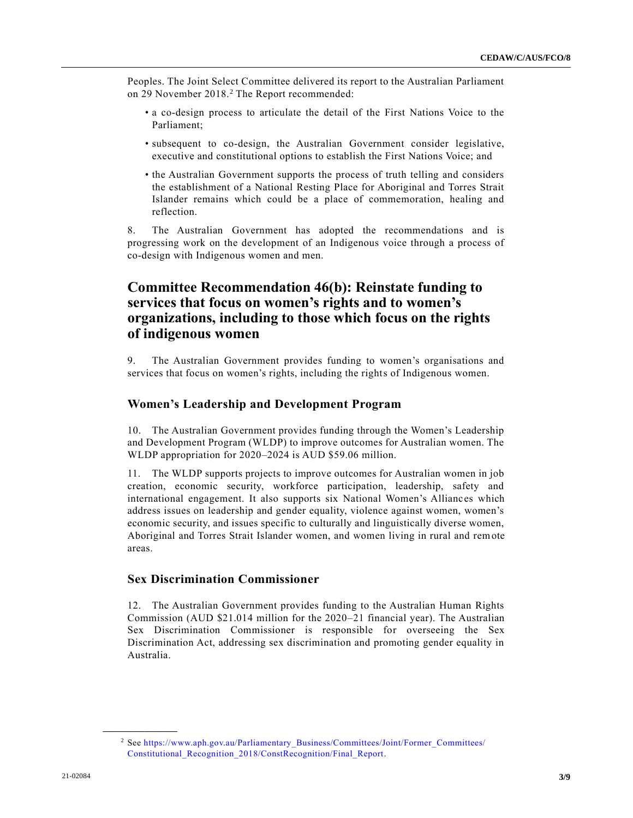Peoples. The Joint Select Committee delivered its report to the Australian Parliament on 29 November 2018.<sup>2</sup> The Report recommended:

- a co-design process to articulate the detail of the First Nations Voice to the Parliament;
- subsequent to co-design, the Australian Government consider legislative, executive and constitutional options to establish the First Nations Voice; and
- the Australian Government supports the process of truth telling and considers the establishment of a National Resting Place for Aboriginal and Torres Strait Islander remains which could be a place of commemoration, healing and reflection.

8. The Australian Government has adopted the recommendations and is progressing work on the development of an Indigenous voice through a process of co-design with Indigenous women and men.

# **Committee Recommendation 46(b): Reinstate funding to services that focus on women's rights and to women's organizations, including to those which focus on the rights of indigenous women**

9. The Australian Government provides funding to women's organisations and services that focus on women's rights, including the rights of Indigenous women.

# **Women's Leadership and Development Program**

10. The Australian Government provides funding through the Women's Leadership and Development Program (WLDP) to improve outcomes for Australian women. The WLDP appropriation for 2020–2024 is AUD \$59.06 million.

11. The WLDP supports projects to improve outcomes for Australian women in job creation, economic security, workforce participation, leadership, safety and international engagement. It also supports six National Women's Allianc es which address issues on leadership and gender equality, violence against women, women's economic security, and issues specific to culturally and linguistically diverse women, Aboriginal and Torres Strait Islander women, and women living in rural and remote areas.

# **Sex Discrimination Commissioner**

12. The Australian Government provides funding to the Australian Human Rights Commission (AUD \$21.014 million for the 2020–21 financial year). The Australian Sex Discrimination Commissioner is responsible for overseeing the Sex Discrimination Act, addressing sex discrimination and promoting gender equality in Australia.

**\_\_\_\_\_\_\_\_\_\_\_\_\_\_\_\_\_\_**

<sup>2</sup> See [https://www.aph.gov.au/Parliamentary\\_Business/Committees/Joint/Former\\_Committees/](https://www.aph.gov.au/Parliamentary_Business/Committees/Joint/Former_Committees/Constitutional_Recognition_2018/ConstRecognition/Final_Report) [Constitutional\\_Recognition\\_2018/ConstRecognition/Final\\_Report.](https://www.aph.gov.au/Parliamentary_Business/Committees/Joint/Former_Committees/Constitutional_Recognition_2018/ConstRecognition/Final_Report)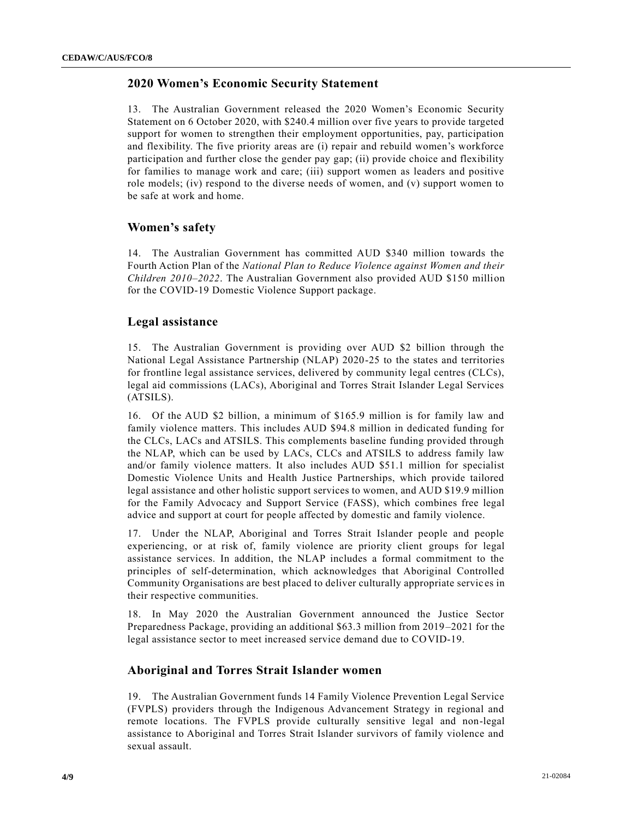# **2020 Women's Economic Security Statement**

13. The Australian Government released the 2020 Women's Economic Security Statement on 6 October 2020, with \$240.4 million over five years to provide targeted support for women to strengthen their employment opportunities, pay, participation and flexibility. The five priority areas are (i) repair and rebuild women's workforce participation and further close the gender pay gap; (ii) provide choice and flexibility for families to manage work and care; (iii) support women as leaders and positive role models; (iv) respond to the diverse needs of women, and  $(v)$  support women to be safe at work and home.

# **Women's safety**

14. The Australian Government has committed AUD \$340 million towards the Fourth Action Plan of the *National Plan to Reduce Violence against Women and their Children 2010–2022*. The Australian Government also provided AUD \$150 million for the COVID-19 Domestic Violence Support package.

#### **Legal assistance**

15. The Australian Government is providing over AUD \$2 billion through the National Legal Assistance Partnership (NLAP) 2020-25 to the states and territories for frontline legal assistance services, delivered by community legal centres (CLCs), legal aid commissions (LACs), Aboriginal and Torres Strait Islander Legal Services (ATSILS).

16. Of the AUD \$2 billion, a minimum of \$165.9 million is for family law and family violence matters. This includes AUD \$94.8 million in dedicated funding for the CLCs, LACs and ATSILS. This complements baseline funding provided through the NLAP, which can be used by LACs, CLCs and ATSILS to address family law and/or family violence matters. It also includes AUD \$51.1 million for specialist Domestic Violence Units and Health Justice Partnerships, which provide tailored legal assistance and other holistic support services to women, and AUD \$19.9 million for the Family Advocacy and Support Service (FASS), which combines free legal advice and support at court for people affected by domestic and family violence.

17. Under the NLAP, Aboriginal and Torres Strait Islander people and people experiencing, or at risk of, family violence are priority client groups for legal assistance services. In addition, the NLAP includes a formal commitment to the principles of self-determination, which acknowledges that Aboriginal Controlled Community Organisations are best placed to deliver culturally appropriate servic es in their respective communities.

18. In May 2020 the Australian Government announced the Justice Sector Preparedness Package, providing an additional \$63.3 million from 2019–2021 for the legal assistance sector to meet increased service demand due to COVID-19.

#### **Aboriginal and Torres Strait Islander women**

19. The Australian Government funds 14 Family Violence Prevention Legal Service (FVPLS) providers through the Indigenous Advancement Strategy in regional and remote locations. The FVPLS provide culturally sensitive legal and non-legal assistance to Aboriginal and Torres Strait Islander survivors of family violence and sexual assault.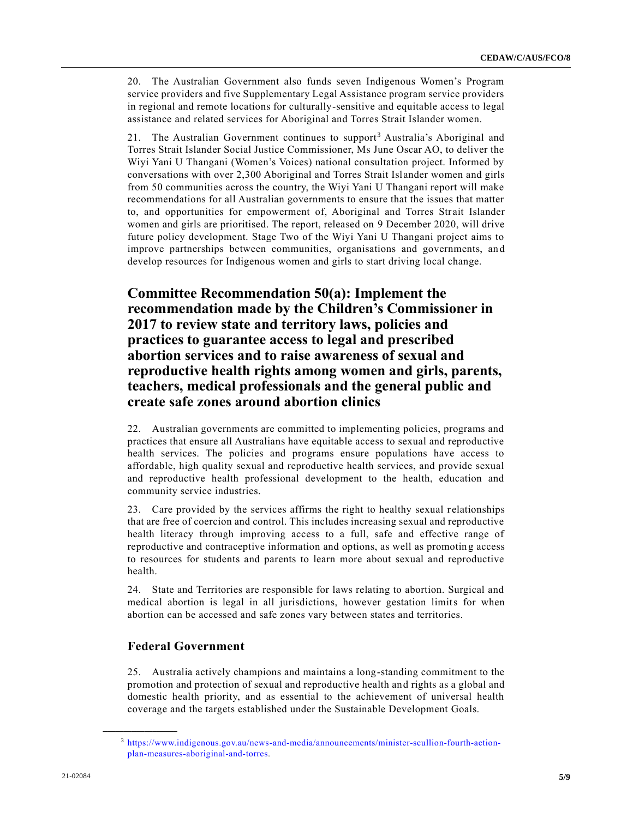20. The Australian Government also funds seven Indigenous Women's Program service providers and five Supplementary Legal Assistance program service providers in regional and remote locations for culturally-sensitive and equitable access to legal assistance and related services for Aboriginal and Torres Strait Islander women.

21. The Australian Government continues to support<sup>3</sup> Australia's Aboriginal and Torres Strait Islander Social Justice Commissioner, Ms June Oscar AO, to deliver the Wiyi Yani U Thangani (Women's Voices) national consultation project. Informed by conversations with over 2,300 Aboriginal and Torres Strait Islander women and girls from 50 communities across the country, the Wiyi Yani U Thangani report will make recommendations for all Australian governments to ensure that the issues that matter to, and opportunities for empowerment of, Aboriginal and Torres Strait Islander women and girls are prioritised. The report, released on 9 December 2020, will drive future policy development. Stage Two of the Wiyi Yani U Thangani project aims to improve partnerships between communities, organisations and governments, an d develop resources for Indigenous women and girls to start driving local change.

# **Committee Recommendation 50(a): Implement the recommendation made by the Children's Commissioner in 2017 to review state and territory laws, policies and practices to guarantee access to legal and prescribed abortion services and to raise awareness of sexual and reproductive health rights among women and girls, parents, teachers, medical professionals and the general public and create safe zones around abortion clinics**

22. Australian governments are committed to implementing policies, programs and practices that ensure all Australians have equitable access to sexual and reproductive health services. The policies and programs ensure populations have access to affordable, high quality sexual and reproductive health services, and provide sexual and reproductive health professional development to the health, education and community service industries.

23. Care provided by the services affirms the right to healthy sexual relationships that are free of coercion and control. This includes increasing sexual and reproductive health literacy through improving access to a full, safe and effective range of reproductive and contraceptive information and options, as well as promotin g access to resources for students and parents to learn more about sexual and reproductive health.

24. State and Territories are responsible for laws relating to abortion. Surgical and medical abortion is legal in all jurisdictions, however gestation limits for when abortion can be accessed and safe zones vary between states and territories.

# **Federal Government**

**\_\_\_\_\_\_\_\_\_\_\_\_\_\_\_\_\_\_**

25. Australia actively champions and maintains a long-standing commitment to the promotion and protection of sexual and reproductive health and rights as a global and domestic health priority, and as essential to the achievement of universal health coverage and the targets established under the Sustainable Development Goals.

<sup>3</sup> [https://www.indigenous.gov.au/news-and-media/announcements/minister-scullion-fourth-action](https://www.indigenous.gov.au/news-and-media/announcements/minister-scullion-fourth-action-plan-measures-aboriginal-and-torres)[plan-measures-aboriginal-and-torres.](https://www.indigenous.gov.au/news-and-media/announcements/minister-scullion-fourth-action-plan-measures-aboriginal-and-torres)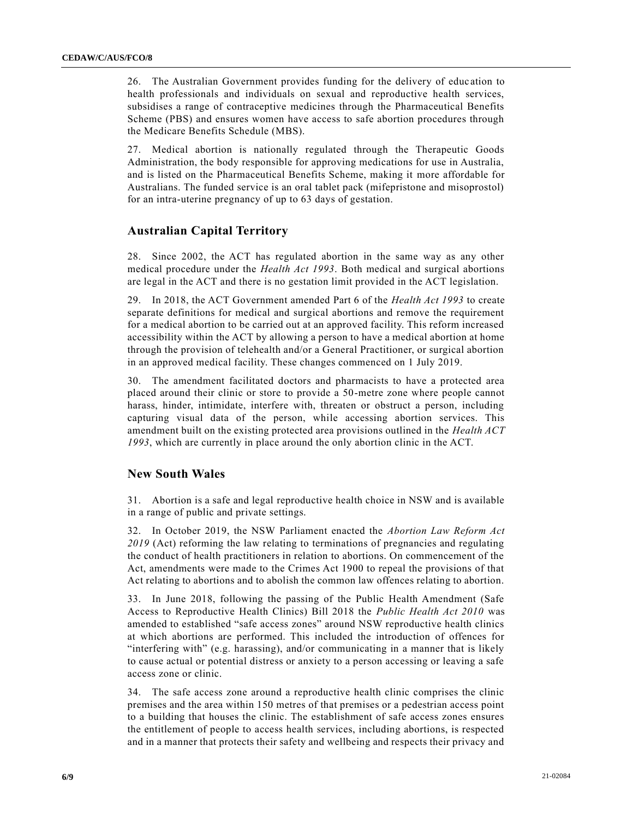26. The Australian Government provides funding for the delivery of educ ation to health professionals and individuals on sexual and reproductive health services, subsidises a range of contraceptive medicines through the Pharmaceutical Benefits Scheme (PBS) and ensures women have access to safe abortion procedures through the Medicare Benefits Schedule (MBS).

27. Medical abortion is nationally regulated through the Therapeutic Goods Administration, the body responsible for approving medications for use in Australia, and is listed on the Pharmaceutical Benefits Scheme, making it more affordable for Australians. The funded service is an oral tablet pack (mifepristone and misoprostol) for an intra-uterine pregnancy of up to 63 days of gestation.

# **Australian Capital Territory**

28. Since 2002, the ACT has regulated abortion in the same way as any other medical procedure under the *Health Act 1993*. Both medical and surgical abortions are legal in the ACT and there is no gestation limit provided in the ACT legislation.

29. In 2018, the ACT Government amended Part 6 of the *Health Act 1993* to create separate definitions for medical and surgical abortions and remove the requirement for a medical abortion to be carried out at an approved facility. This reform increased accessibility within the ACT by allowing a person to have a medical abortion at home through the provision of telehealth and/or a General Practitioner, or surgical abortion in an approved medical facility. These changes commenced on 1 July 2019.

30. The amendment facilitated doctors and pharmacists to have a protected area placed around their clinic or store to provide a 50-metre zone where people cannot harass, hinder, intimidate, interfere with, threaten or obstruct a person, including capturing visual data of the person, while accessing abortion services. This amendment built on the existing protected area provisions outlined in the *Health ACT 1993*, which are currently in place around the only abortion clinic in the ACT.

### **New South Wales**

31. Abortion is a safe and legal reproductive health choice in NSW and is available in a range of public and private settings.

32. In October 2019, the NSW Parliament enacted the *Abortion Law Reform Act 2019* (Act) reforming the law relating to terminations of pregnancies and regulating the conduct of health practitioners in relation to abortions. On commencement of the Act, amendments were made to the Crimes Act 1900 to repeal the provisions of that Act relating to abortions and to abolish the common law offences relating to abortion.

33. In June 2018, following the passing of the Public Health Amendment (Safe Access to Reproductive Health Clinics) Bill 2018 the *Public Health Act 2010* was amended to established "safe access zones" around NSW reproductive health clinics at which abortions are performed. This included the introduction of offences for "interfering with" (e.g. harassing), and/or communicating in a manner that is likely to cause actual or potential distress or anxiety to a person accessing or leaving a safe access zone or clinic.

34. The safe access zone around a reproductive health clinic comprises the clinic premises and the area within 150 metres of that premises or a pedestrian access point to a building that houses the clinic. The establishment of safe access zones ensures the entitlement of people to access health services, including abortions, is respected and in a manner that protects their safety and wellbeing and respects their privacy and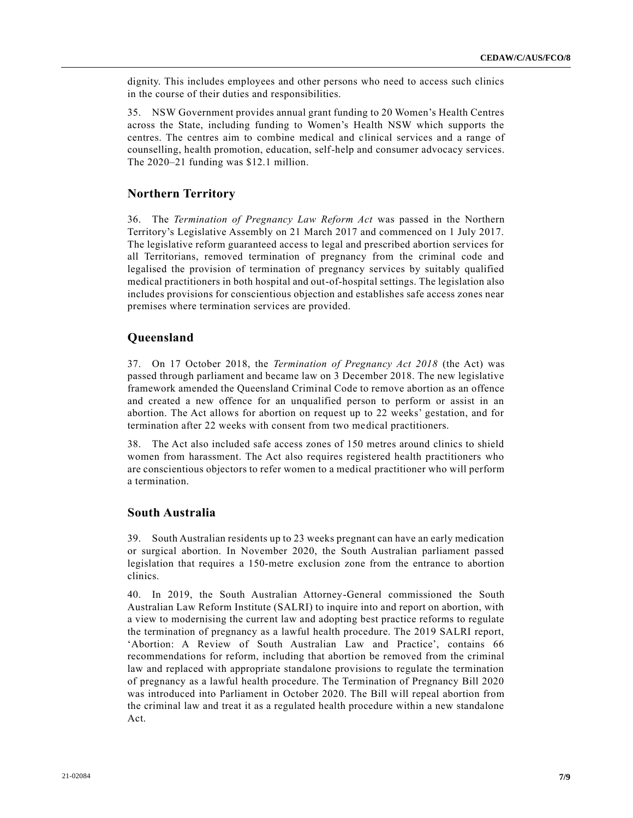dignity. This includes employees and other persons who need to access such clinics in the course of their duties and responsibilities.

35. NSW Government provides annual grant funding to 20 Women's Health Centres across the State, including funding to Women's Health NSW which supports the centres. The centres aim to combine medical and clinical services and a range of counselling, health promotion, education, self-help and consumer advocacy services. The 2020–21 funding was \$12.1 million.

# **Northern Territory**

36. The *Termination of Pregnancy Law Reform Act* was passed in the Northern Territory's Legislative Assembly on 21 March 2017 and commenced on 1 July 2017. The legislative reform guaranteed access to legal and prescribed abortion services for all Territorians, removed termination of pregnancy from the criminal code and legalised the provision of termination of pregnancy services by suitably qualified medical practitioners in both hospital and out-of-hospital settings. The legislation also includes provisions for conscientious objection and establishes safe access zones near premises where termination services are provided.

# **Queensland**

37. On 17 October 2018, the *Termination of Pregnancy Act 2018* (the Act) was passed through parliament and became law on 3 December 2018. The new legislative framework amended the Queensland Criminal Code to remove abortion as an offence and created a new offence for an unqualified person to perform or assist in an abortion. The Act allows for abortion on request up to 22 weeks' gestation, and for termination after 22 weeks with consent from two medical practitioners.

38. The Act also included safe access zones of 150 metres around clinics to shield women from harassment. The Act also requires registered health practitioners who are conscientious objectors to refer women to a medical practitioner who will perform a termination.

#### **South Australia**

39. South Australian residents up to 23 weeks pregnant can have an early medication or surgical abortion. In November 2020, the South Australian parliament passed legislation that requires a 150-metre exclusion zone from the entrance to abortion clinics.

40. In 2019, the South Australian Attorney-General commissioned the South Australian Law Reform Institute (SALRI) to inquire into and report on abortion, with a view to modernising the current law and adopting best practice reforms to regulate the termination of pregnancy as a lawful health procedure. The 2019 SALRI report, 'Abortion: A Review of South Australian Law and Practice', contains 66 recommendations for reform, including that abortion be removed from the criminal law and replaced with appropriate standalone provisions to regulate the termination of pregnancy as a lawful health procedure. The Termination of Pregnancy Bill 2020 was introduced into Parliament in October 2020. The Bill will repeal abortion from the criminal law and treat it as a regulated health procedure within a new standalone Act.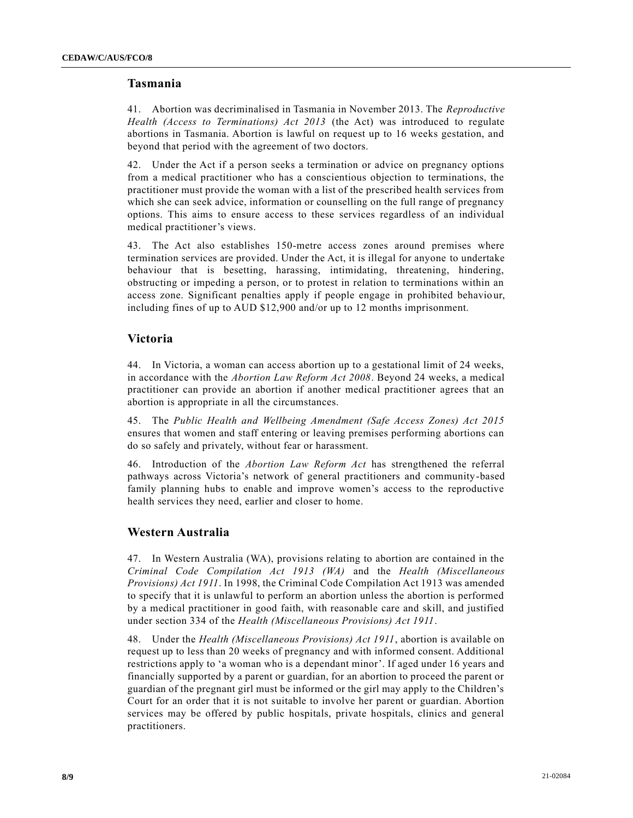# **Tasmania**

41. Abortion was decriminalised in Tasmania in November 2013. The *Reproductive Health (Access to Terminations) Act 2013* (the Act) was introduced to regulate abortions in Tasmania. Abortion is lawful on request up to 16 weeks gestation, and beyond that period with the agreement of two doctors.

42. Under the Act if a person seeks a termination or advice on pregnancy options from a medical practitioner who has a conscientious objection to terminations, the practitioner must provide the woman with a list of the prescribed health services from which she can seek advice, information or counselling on the full range of pregnancy options. This aims to ensure access to these services regardless of an individual medical practitioner's views.

43. The Act also establishes 150-metre access zones around premises where termination services are provided. Under the Act, it is illegal for anyone to undertake behaviour that is besetting, harassing, intimidating, threatening, hindering, obstructing or impeding a person, or to protest in relation to terminations within an access zone. Significant penalties apply if people engage in prohibited behavio ur, including fines of up to AUD \$12,900 and/or up to 12 months imprisonment.

# **Victoria**

44. In Victoria, a woman can access abortion up to a gestational limit of 24 weeks, in accordance with the *Abortion Law Reform Act 2008*. Beyond 24 weeks, a medical practitioner can provide an abortion if another medical practitioner agrees that an abortion is appropriate in all the circumstances.

45. The *Public Health and Wellbeing Amendment (Safe Access Zones) Act 2015* ensures that women and staff entering or leaving premises performing abortions can do so safely and privately, without fear or harassment.

46. Introduction of the *Abortion Law Reform Act* has strengthened the referral pathways across Victoria's network of general practitioners and community-based family planning hubs to enable and improve women's access to the reproductive health services they need, earlier and closer to home.

# **Western Australia**

47. In Western Australia (WA), provisions relating to abortion are contained in the *Criminal Code Compilation Act 1913 (WA)* and the *Health (Miscellaneous Provisions) Act 1911*. In 1998, the Criminal Code Compilation Act 1913 was amended to specify that it is unlawful to perform an abortion unless the abortion is performed by a medical practitioner in good faith, with reasonable care and skill, and justified under section 334 of the *Health (Miscellaneous Provisions) Act 1911*.

48. Under the *Health (Miscellaneous Provisions) Act 1911*, abortion is available on request up to less than 20 weeks of pregnancy and with informed consent. Additional restrictions apply to 'a woman who is a dependant minor'. If aged under 16 years and financially supported by a parent or guardian, for an abortion to proceed the parent or guardian of the pregnant girl must be informed or the girl may apply to the Children's Court for an order that it is not suitable to involve her parent or guardian. Abortion services may be offered by public hospitals, private hospitals, clinics and general practitioners.